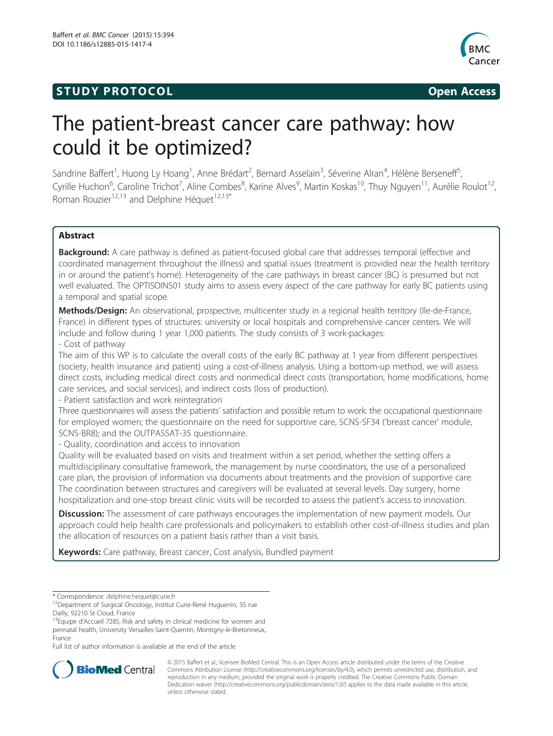## **STUDY PROTOCOL CONSUMING THE CONSUMING OPEN ACCESS**



# The patient-breast cancer care pathway: how could it be optimized?

Sandrine Baffert<sup>1</sup>, Huong Ly Hoang<sup>1</sup>, Anne Brédart<sup>2</sup>, Bernard Asselain<sup>3</sup>, Séverine Alran<sup>4</sup>, Hélène Berseneff<sup>5</sup> , Cyrille Huchon<sup>6</sup>, Caroline Trichot<sup>7</sup>, Aline Combes<sup>8</sup>, Karine Alves<sup>9</sup>, Martin Koskas<sup>10</sup>, Thuy Nguyen<sup>11</sup>, Aurélie Roulot<sup>12</sup>, Roman Rouzier<sup>12,13</sup> and Delphine Héquet<sup>12,13\*</sup>

## Abstract

**Background:** A care pathway is defined as patient-focused global care that addresses temporal (effective and coordinated management throughout the illness) and spatial issues (treatment is provided near the health territory in or around the patient's home). Heterogeneity of the care pathways in breast cancer (BC) is presumed but not well evaluated. The OPTISOINS01 study aims to assess every aspect of the care pathway for early BC patients using a temporal and spatial scope.

Methods/Design: An observational, prospective, multicenter study in a regional health territory (Ile-de-France, France) in different types of structures: university or local hospitals and comprehensive cancer centers. We will include and follow during 1 year 1,000 patients. The study consists of 3 work-packages:

## - Cost of pathway

The aim of this WP is to calculate the overall costs of the early BC pathway at 1 year from different perspectives (society, health insurance and patient) using a cost-of-illness analysis. Using a bottom-up method, we will assess direct costs, including medical direct costs and nonmedical direct costs (transportation, home modifications, home care services, and social services), and indirect costs (loss of production).

- Patient satisfaction and work reintegration

Three questionnaires will assess the patients' satisfaction and possible return to work: the occupational questionnaire for employed women; the questionnaire on the need for supportive care, SCNS-SF34 ('breast cancer' module, SCNS-BR8); and the OUTPASSAT-35 questionnaire.

- Quality, coordination and access to innovation

Quality will be evaluated based on visits and treatment within a set period, whether the setting offers a multidisciplinary consultative framework, the management by nurse coordinators, the use of a personalized care plan, the provision of information via documents about treatments and the provision of supportive care. The coordination between structures and caregivers will be evaluated at several levels. Day surgery, home hospitalization and one-stop breast clinic visits will be recorded to assess the patient's access to innovation.

**Discussion:** The assessment of care pathways encourages the implementation of new payment models. Our approach could help health care professionals and policymakers to establish other cost-of-illness studies and plan the allocation of resources on a patient basis rather than a visit basis.

Keywords: Care pathway, Breast cancer, Cost analysis, Bundled payment

<sup>13</sup>Equipe d'Accueil 7285, Risk and safety in clinical medicine for women and perinatal health, University Versailles-Saint-Quentin, Montigny-le-Bretonneux, France

Full list of author information is available at the end of the article



© 2015 Baffert et al.; licensee BioMed Central. This is an Open Access article distributed under the terms of the Creative Commons Attribution License [\(http://creativecommons.org/licenses/by/4.0\)](http://creativecommons.org/licenses/by/4.0), which permits unrestricted use, distribution, and reproduction in any medium, provided the original work is properly credited. The Creative Commons Public Domain Dedication waiver [\(http://creativecommons.org/publicdomain/zero/1.0/](http://creativecommons.org/publicdomain/zero/1.0/)) applies to the data made available in this article, unless otherwise stated.

<sup>\*</sup> Correspondence: [delphine.hequet@curie.fr](mailto:delphine.hequet@curie.fr) 12Department of Surgical Oncology, Institut Curie-René Huguenin, 35 rue Dailly, 92210 St Cloud, France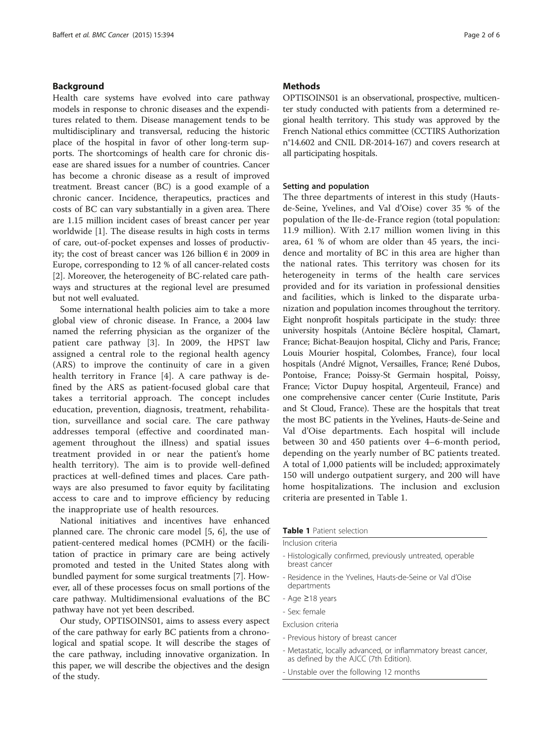## Background

Health care systems have evolved into care pathway models in response to chronic diseases and the expenditures related to them. Disease management tends to be multidisciplinary and transversal, reducing the historic place of the hospital in favor of other long-term supports. The shortcomings of health care for chronic disease are shared issues for a number of countries. Cancer has become a chronic disease as a result of improved treatment. Breast cancer (BC) is a good example of a chronic cancer. Incidence, therapeutics, practices and costs of BC can vary substantially in a given area. There are 1.15 million incident cases of breast cancer per year worldwide [[1](#page-5-0)]. The disease results in high costs in terms of care, out-of-pocket expenses and losses of productivity; the cost of breast cancer was 126 billion  $\epsilon$  in 2009 in Europe, corresponding to 12 % of all cancer-related costs [[2\]](#page-5-0). Moreover, the heterogeneity of BC-related care pathways and structures at the regional level are presumed but not well evaluated.

Some international health policies aim to take a more global view of chronic disease. In France, a 2004 law named the referring physician as the organizer of the patient care pathway [[3\]](#page-5-0). In 2009, the HPST law assigned a central role to the regional health agency (ARS) to improve the continuity of care in a given health territory in France [[4\]](#page-5-0). A care pathway is defined by the ARS as patient-focused global care that takes a territorial approach. The concept includes education, prevention, diagnosis, treatment, rehabilitation, surveillance and social care. The care pathway addresses temporal (effective and coordinated management throughout the illness) and spatial issues treatment provided in or near the patient's home health territory). The aim is to provide well-defined practices at well-defined times and places. Care pathways are also presumed to favor equity by facilitating access to care and to improve efficiency by reducing the inappropriate use of health resources.

National initiatives and incentives have enhanced planned care. The chronic care model [[5, 6](#page-5-0)], the use of patient-centered medical homes (PCMH) or the facilitation of practice in primary care are being actively promoted and tested in the United States along with bundled payment for some surgical treatments [\[7](#page-5-0)]. However, all of these processes focus on small portions of the care pathway. Multidimensional evaluations of the BC pathway have not yet been described.

Our study, OPTISOINS01, aims to assess every aspect of the care pathway for early BC patients from a chronological and spatial scope. It will describe the stages of the care pathway, including innovative organization. In this paper, we will describe the objectives and the design of the study.

## **Methods**

OPTISOINS01 is an observational, prospective, multicenter study conducted with patients from a determined regional health territory. This study was approved by the French National ethics committee (CCTIRS Authorization n°14.602 and CNIL DR-2014-167) and covers research at all participating hospitals.

## Setting and population

The three departments of interest in this study (Hautsde-Seine, Yvelines, and Val d'Oise) cover 35 % of the population of the Ile-de-France region (total population: 11.9 million). With 2.17 million women living in this area, 61 % of whom are older than 45 years, the incidence and mortality of BC in this area are higher than the national rates. This territory was chosen for its heterogeneity in terms of the health care services provided and for its variation in professional densities and facilities, which is linked to the disparate urbanization and population incomes throughout the territory. Eight nonprofit hospitals participate in the study: three university hospitals (Antoine Béclère hospital, Clamart, France; Bichat-Beaujon hospital, Clichy and Paris, France; Louis Mourier hospital, Colombes, France), four local hospitals (André Mignot, Versailles, France; René Dubos, Pontoise, France; Poissy-St Germain hospital, Poissy, France; Victor Dupuy hospital, Argenteuil, France) and one comprehensive cancer center (Curie Institute, Paris and St Cloud, France). These are the hospitals that treat the most BC patients in the Yvelines, Hauts-de-Seine and Val d'Oise departments. Each hospital will include between 30 and 450 patients over 4–6-month period, depending on the yearly number of BC patients treated. A total of 1,000 patients will be included; approximately 150 will undergo outpatient surgery, and 200 will have home hospitalizations. The inclusion and exclusion criteria are presented in Table 1.

#### **Table 1** Patient selection

#### Inclusion criteria

- Histologically confirmed, previously untreated, operable breast cancer
- Residence in the Yvelines, Hauts-de-Seine or Val d'Oise departments
- Age ≥18 years
- Sex: female
- Exclusion criteria
- Previous history of breast cancer
- Metastatic, locally advanced, or inflammatory breast cancer, as defined by the AJCC (7th Edition).
- Unstable over the following 12 months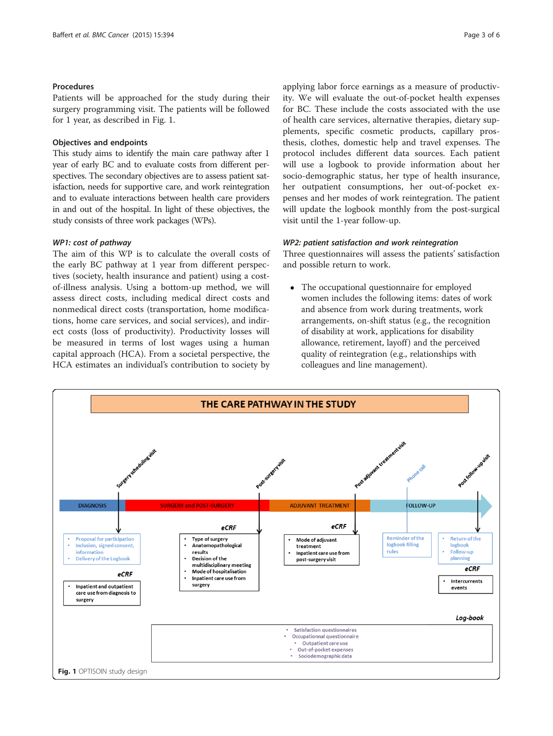#### Procedures

Patients will be approached for the study during their surgery programming visit. The patients will be followed for 1 year, as described in Fig. 1.

#### Objectives and endpoints

This study aims to identify the main care pathway after 1 year of early BC and to evaluate costs from different perspectives. The secondary objectives are to assess patient satisfaction, needs for supportive care, and work reintegration and to evaluate interactions between health care providers in and out of the hospital. In light of these objectives, the study consists of three work packages (WPs).

#### WP1: cost of pathway

The aim of this WP is to calculate the overall costs of the early BC pathway at 1 year from different perspectives (society, health insurance and patient) using a costof-illness analysis. Using a bottom-up method, we will assess direct costs, including medical direct costs and nonmedical direct costs (transportation, home modifications, home care services, and social services), and indirect costs (loss of productivity). Productivity losses will be measured in terms of lost wages using a human capital approach (HCA). From a societal perspective, the HCA estimates an individual's contribution to society by applying labor force earnings as a measure of productivity. We will evaluate the out-of-pocket health expenses for BC. These include the costs associated with the use of health care services, alternative therapies, dietary supplements, specific cosmetic products, capillary prosthesis, clothes, domestic help and travel expenses. The protocol includes different data sources. Each patient will use a logbook to provide information about her socio-demographic status, her type of health insurance, her outpatient consumptions, her out-of-pocket expenses and her modes of work reintegration. The patient will update the logbook monthly from the post-surgical visit until the 1-year follow-up.

#### WP2: patient satisfaction and work reintegration

Three questionnaires will assess the patients' satisfaction and possible return to work.

 The occupational questionnaire for employed women includes the following items: dates of work and absence from work during treatments, work arrangements, on-shift status (e.g., the recognition of disability at work, applications for disability allowance, retirement, layoff) and the perceived quality of reintegration (e.g., relationships with colleagues and line management).

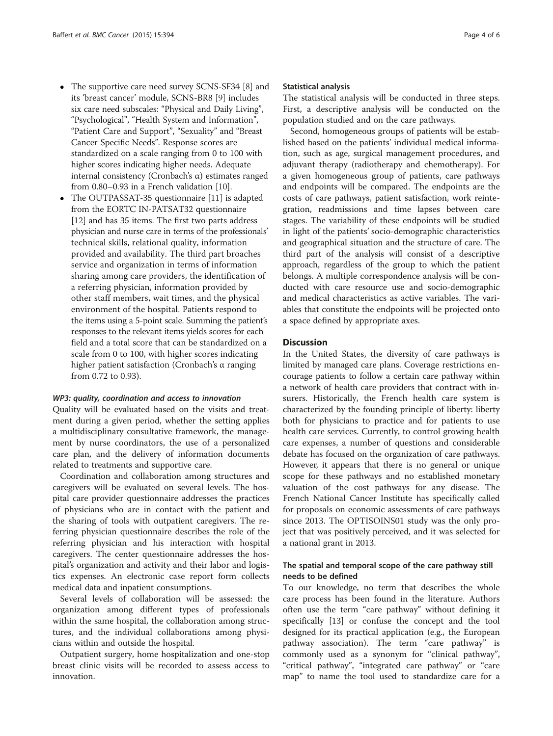- The supportive care need survey SCNS-SF34 [\[8](#page-5-0)] and its 'breast cancer' module, SCNS-BR8 [\[9\]](#page-5-0) includes six care need subscales: "Physical and Daily Living", "Psychological", "Health System and Information", "Patient Care and Support", "Sexuality" and "Breast Cancer Specific Needs". Response scores are standardized on a scale ranging from 0 to 100 with higher scores indicating higher needs. Adequate internal consistency (Cronbach's α) estimates ranged from 0.80–0.93 in a French validation [\[10\]](#page-5-0).
- The OUTPASSAT-35 questionnaire [\[11\]](#page-5-0) is adapted from the EORTC IN-PATSAT32 questionnaire [[12](#page-5-0)] and has 35 items. The first two parts address physician and nurse care in terms of the professionals' technical skills, relational quality, information provided and availability. The third part broaches service and organization in terms of information sharing among care providers, the identification of a referring physician, information provided by other staff members, wait times, and the physical environment of the hospital. Patients respond to the items using a 5-point scale. Summing the patient's responses to the relevant items yields scores for each field and a total score that can be standardized on a scale from 0 to 100, with higher scores indicating higher patient satisfaction (Cronbach's α ranging from 0.72 to 0.93).

#### WP3: quality, coordination and access to innovation

Quality will be evaluated based on the visits and treatment during a given period, whether the setting applies a multidisciplinary consultative framework, the management by nurse coordinators, the use of a personalized care plan, and the delivery of information documents related to treatments and supportive care.

Coordination and collaboration among structures and caregivers will be evaluated on several levels. The hospital care provider questionnaire addresses the practices of physicians who are in contact with the patient and the sharing of tools with outpatient caregivers. The referring physician questionnaire describes the role of the referring physician and his interaction with hospital caregivers. The center questionnaire addresses the hospital's organization and activity and their labor and logistics expenses. An electronic case report form collects medical data and inpatient consumptions.

Several levels of collaboration will be assessed: the organization among different types of professionals within the same hospital, the collaboration among structures, and the individual collaborations among physicians within and outside the hospital.

Outpatient surgery, home hospitalization and one-stop breast clinic visits will be recorded to assess access to innovation.

#### Statistical analysis

The statistical analysis will be conducted in three steps. First, a descriptive analysis will be conducted on the population studied and on the care pathways.

Second, homogeneous groups of patients will be established based on the patients' individual medical information, such as age, surgical management procedures, and adjuvant therapy (radiotherapy and chemotherapy). For a given homogeneous group of patients, care pathways and endpoints will be compared. The endpoints are the costs of care pathways, patient satisfaction, work reintegration, readmissions and time lapses between care stages. The variability of these endpoints will be studied in light of the patients' socio-demographic characteristics and geographical situation and the structure of care. The third part of the analysis will consist of a descriptive approach, regardless of the group to which the patient belongs. A multiple correspondence analysis will be conducted with care resource use and socio-demographic and medical characteristics as active variables. The variables that constitute the endpoints will be projected onto a space defined by appropriate axes.

#### **Discussion**

In the United States, the diversity of care pathways is limited by managed care plans. Coverage restrictions encourage patients to follow a certain care pathway within a network of health care providers that contract with insurers. Historically, the French health care system is characterized by the founding principle of liberty: liberty both for physicians to practice and for patients to use health care services. Currently, to control growing health care expenses, a number of questions and considerable debate has focused on the organization of care pathways. However, it appears that there is no general or unique scope for these pathways and no established monetary valuation of the cost pathways for any disease. The French National Cancer Institute has specifically called for proposals on economic assessments of care pathways since 2013. The OPTISOINS01 study was the only project that was positively perceived, and it was selected for a national grant in 2013.

## The spatial and temporal scope of the care pathway still needs to be defined

To our knowledge, no term that describes the whole care process has been found in the literature. Authors often use the term "care pathway" without defining it specifically [[13](#page-5-0)] or confuse the concept and the tool designed for its practical application (e.g., the European pathway association). The term "care pathway" is commonly used as a synonym for "clinical pathway", "critical pathway", "integrated care pathway" or "care map" to name the tool used to standardize care for a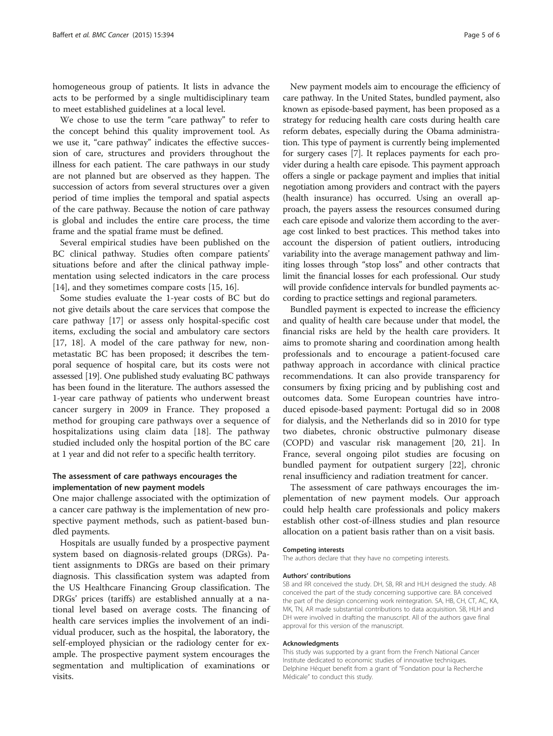homogeneous group of patients. It lists in advance the acts to be performed by a single multidisciplinary team to meet established guidelines at a local level.

We chose to use the term "care pathway" to refer to the concept behind this quality improvement tool. As we use it, "care pathway" indicates the effective succession of care, structures and providers throughout the illness for each patient. The care pathways in our study are not planned but are observed as they happen. The succession of actors from several structures over a given period of time implies the temporal and spatial aspects of the care pathway. Because the notion of care pathway is global and includes the entire care process, the time frame and the spatial frame must be defined.

Several empirical studies have been published on the BC clinical pathway. Studies often compare patients' situations before and after the clinical pathway implementation using selected indicators in the care process [[14\]](#page-5-0), and they sometimes compare costs [[15](#page-5-0), [16](#page-5-0)].

Some studies evaluate the 1-year costs of BC but do not give details about the care services that compose the care pathway [\[17](#page-5-0)] or assess only hospital-specific cost items, excluding the social and ambulatory care sectors [[17, 18\]](#page-5-0). A model of the care pathway for new, nonmetastatic BC has been proposed; it describes the temporal sequence of hospital care, but its costs were not assessed [[19](#page-5-0)]. One published study evaluating BC pathways has been found in the literature. The authors assessed the 1-year care pathway of patients who underwent breast cancer surgery in 2009 in France. They proposed a method for grouping care pathways over a sequence of hospitalizations using claim data [[18\]](#page-5-0). The pathway studied included only the hospital portion of the BC care at 1 year and did not refer to a specific health territory.

## The assessment of care pathways encourages the implementation of new payment models

One major challenge associated with the optimization of a cancer care pathway is the implementation of new prospective payment methods, such as patient-based bundled payments.

Hospitals are usually funded by a prospective payment system based on diagnosis-related groups (DRGs). Patient assignments to DRGs are based on their primary diagnosis. This classification system was adapted from the US Healthcare Financing Group classification. The DRGs' prices (tariffs) are established annually at a national level based on average costs. The financing of health care services implies the involvement of an individual producer, such as the hospital, the laboratory, the self-employed physician or the radiology center for example. The prospective payment system encourages the segmentation and multiplication of examinations or visits.

New payment models aim to encourage the efficiency of care pathway. In the United States, bundled payment, also known as episode-based payment, has been proposed as a strategy for reducing health care costs during health care reform debates, especially during the Obama administration. This type of payment is currently being implemented for surgery cases [\[7\]](#page-5-0). It replaces payments for each provider during a health care episode. This payment approach offers a single or package payment and implies that initial negotiation among providers and contract with the payers (health insurance) has occurred. Using an overall approach, the payers assess the resources consumed during each care episode and valorize them according to the average cost linked to best practices. This method takes into account the dispersion of patient outliers, introducing variability into the average management pathway and limiting losses through "stop loss" and other contracts that limit the financial losses for each professional. Our study will provide confidence intervals for bundled payments according to practice settings and regional parameters.

Bundled payment is expected to increase the efficiency and quality of health care because under that model, the financial risks are held by the health care providers. It aims to promote sharing and coordination among health professionals and to encourage a patient-focused care pathway approach in accordance with clinical practice recommendations. It can also provide transparency for consumers by fixing pricing and by publishing cost and outcomes data. Some European countries have introduced episode-based payment: Portugal did so in 2008 for dialysis, and the Netherlands did so in 2010 for type two diabetes, chronic obstructive pulmonary disease (COPD) and vascular risk management [[20, 21\]](#page-5-0). In France, several ongoing pilot studies are focusing on bundled payment for outpatient surgery [\[22\]](#page-5-0), chronic renal insufficiency and radiation treatment for cancer.

The assessment of care pathways encourages the implementation of new payment models. Our approach could help health care professionals and policy makers establish other cost-of-illness studies and plan resource allocation on a patient basis rather than on a visit basis.

#### Competing interests

The authors declare that they have no competing interests.

#### Authors' contributions

SB and RR conceived the study. DH, SB, RR and HLH designed the study. AB conceived the part of the study concerning supportive care. BA conceived the part of the design concerning work reintegration. SA, HB, CH, CT, AC, KA, MK, TN, AR made substantial contributions to data acquisition. SB, HLH and DH were involved in drafting the manuscript. All of the authors gave final approval for this version of the manuscript.

#### Acknowledgments

This study was supported by a grant from the French National Cancer Institute dedicated to economic studies of innovative techniques. Delphine Héquet benefit from a grant of "Fondation pour la Recherche Médicale" to conduct this study.